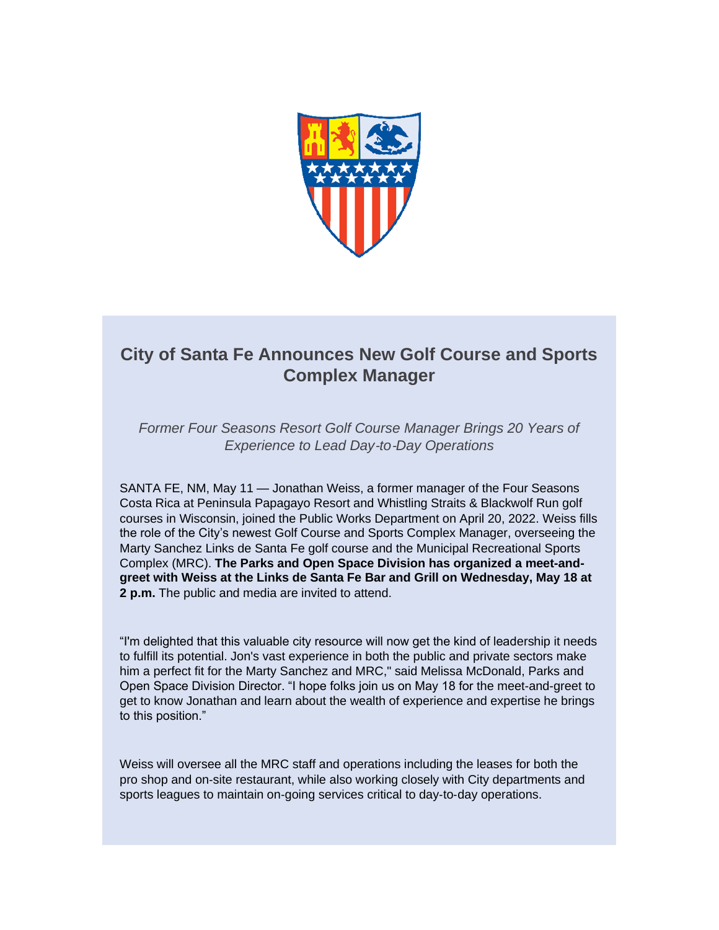

## **City of Santa Fe Announces New Golf Course and Sports Complex Manager**

*Former Four Seasons Resort Golf Course Manager Brings 20 Years of Experience to Lead Day*‐*to*‐*Day Operations*

SANTA FE, NM, May 11 — Jonathan Weiss, a former manager of the Four Seasons Costa Rica at Peninsula Papagayo Resort and Whistling Straits & Blackwolf Run golf courses in Wisconsin, joined the Public Works Department on April 20, 2022. Weiss fills the role of the City's newest Golf Course and Sports Complex Manager, overseeing the Marty Sanchez Links de Santa Fe golf course and the Municipal Recreational Sports Complex (MRC). **The Parks and Open Space Division has organized a meet-andgreet with Weiss at the Links de Santa Fe Bar and Grill on Wednesday, May 18 at 2 p.m.** The public and media are invited to attend.

"I'm delighted that this valuable city resource will now get the kind of leadership it needs to fulfill its potential. Jon's vast experience in both the public and private sectors make him a perfect fit for the Marty Sanchez and MRC," said Melissa McDonald, Parks and Open Space Division Director. "I hope folks join us on May 18 for the meet-and-greet to get to know Jonathan and learn about the wealth of experience and expertise he brings to this position."

Weiss will oversee all the MRC staff and operations including the leases for both the pro shop and on‐site restaurant, while also working closely with City departments and sports leagues to maintain on-going services critical to day-to-day operations.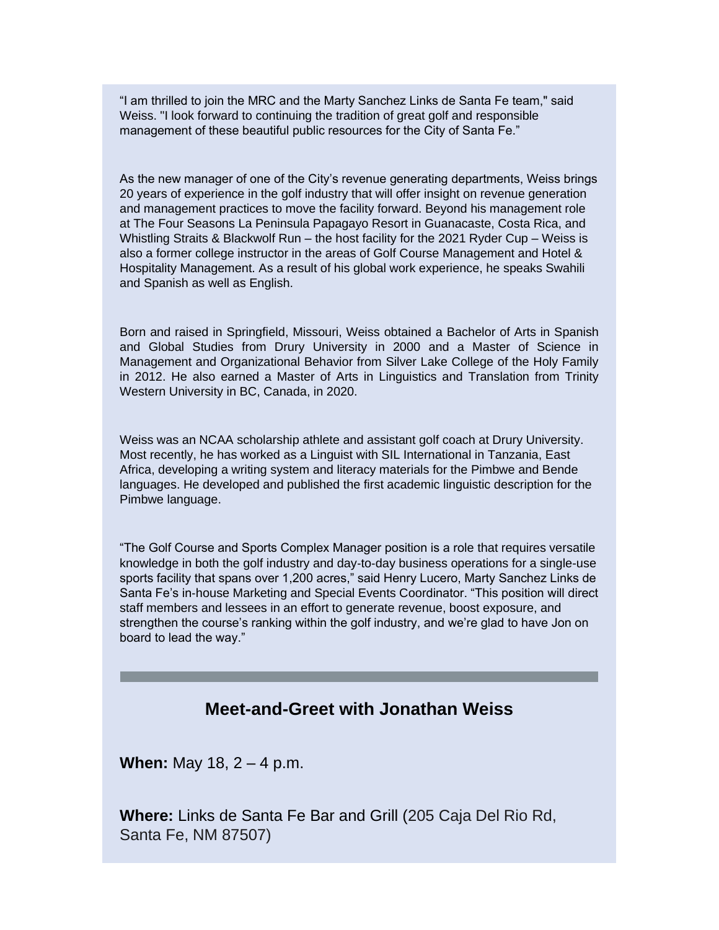"I am thrilled to join the MRC and the Marty Sanchez Links de Santa Fe team," said Weiss. "I look forward to continuing the tradition of great golf and responsible management of these beautiful public resources for the City of Santa Fe."

As the new manager of one of the City's revenue generating departments, Weiss brings 20 years of experience in the golf industry that will offer insight on revenue generation and management practices to move the facility forward. Beyond his management role at The Four Seasons La Peninsula Papagayo Resort in Guanacaste, Costa Rica, and Whistling Straits & Blackwolf Run – the host facility for the 2021 Ryder Cup – Weiss is also a former college instructor in the areas of Golf Course Management and Hotel & Hospitality Management. As a result of his global work experience, he speaks Swahili and Spanish as well as English.

Born and raised in Springfield, Missouri, Weiss obtained a Bachelor of Arts in Spanish and Global Studies from Drury University in 2000 and a Master of Science in Management and Organizational Behavior from Silver Lake College of the Holy Family in 2012. He also earned a Master of Arts in Linguistics and Translation from Trinity Western University in BC, Canada, in 2020.

Weiss was an NCAA scholarship athlete and assistant golf coach at Drury University. Most recently, he has worked as a Linguist with SIL International in Tanzania, East Africa, developing a writing system and literacy materials for the Pimbwe and Bende languages. He developed and published the first academic linguistic description for the Pimbwe language.

"The Golf Course and Sports Complex Manager position is a role that requires versatile knowledge in both the golf industry and day‐to‐day business operations for a single-use sports facility that spans over 1,200 acres," said Henry Lucero, Marty Sanchez Links de Santa Fe's in-house Marketing and Special Events Coordinator. "This position will direct staff members and lessees in an effort to generate revenue, boost exposure, and strengthen the course's ranking within the golf industry, and we're glad to have Jon on board to lead the way."

## **Meet-and-Greet with Jonathan Weiss**

**When:** May 18, 2 – 4 p.m.

**Where:** Links de Santa Fe Bar and Grill (205 Caja Del Rio Rd, Santa Fe, NM 87507)